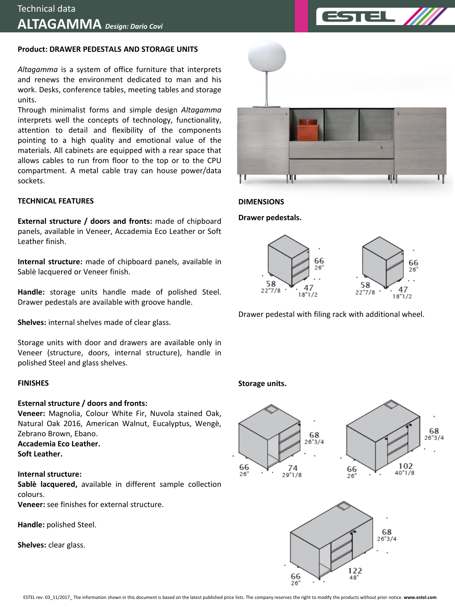### **Product: DRAWER PEDESTALS AND STORAGE UNITS**

*Altagamma* is a system of office furniture that interprets and renews the environment dedicated to man and his work. Desks, conference tables, meeting tables and storage units.

Through minimalist forms and simple design *Altagamma* interprets well the concepts of technology, functionality, attention to detail and flexibility of the components pointing to a high quality and emotional value of the materials. All cabinets are equipped with a rear space that allows cables to run from floor to the top or to the CPU compartment. A metal cable tray can house power/data sockets.

#### **TECHNICAL FEATURES**

**External structure / doors and fronts:** made of chipboard panels, available in Veneer, Accademia Eco Leather or Soft Leather finish.

**Internal structure:** made of chipboard panels, available in Sablè lacquered or Veneer finish.

**Handle:** storage units handle made of polished Steel. Drawer pedestals are available with groove handle.

**Shelves:** internal shelves made of clear glass.

Storage units with door and drawers are available only in Veneer (structure, doors, internal structure), handle in polished Steel and glass shelves.

#### **FINISHES**

## **Esternal structure / doors and fronts:**

**Veneer:** Magnolia, Colour White Fir, Nuvola stained Oak, Natural Oak 2016, American Walnut, Eucalyptus, Wengè, Zebrano Brown, Ebano.

**Accademia Eco Leather. Soft Leather.**

## **Internal structure:**

**Sablè lacquered,** available in different sample collection colours.

**Veneer:** see finishes for external structure.

**Handle:** polished Steel.

**Shelves:** clear glass.



**DIMENSIONS**

**Drawer pedestals.**



Drawer pedestal with filing rack with additional wheel.

#### **Storage units.**